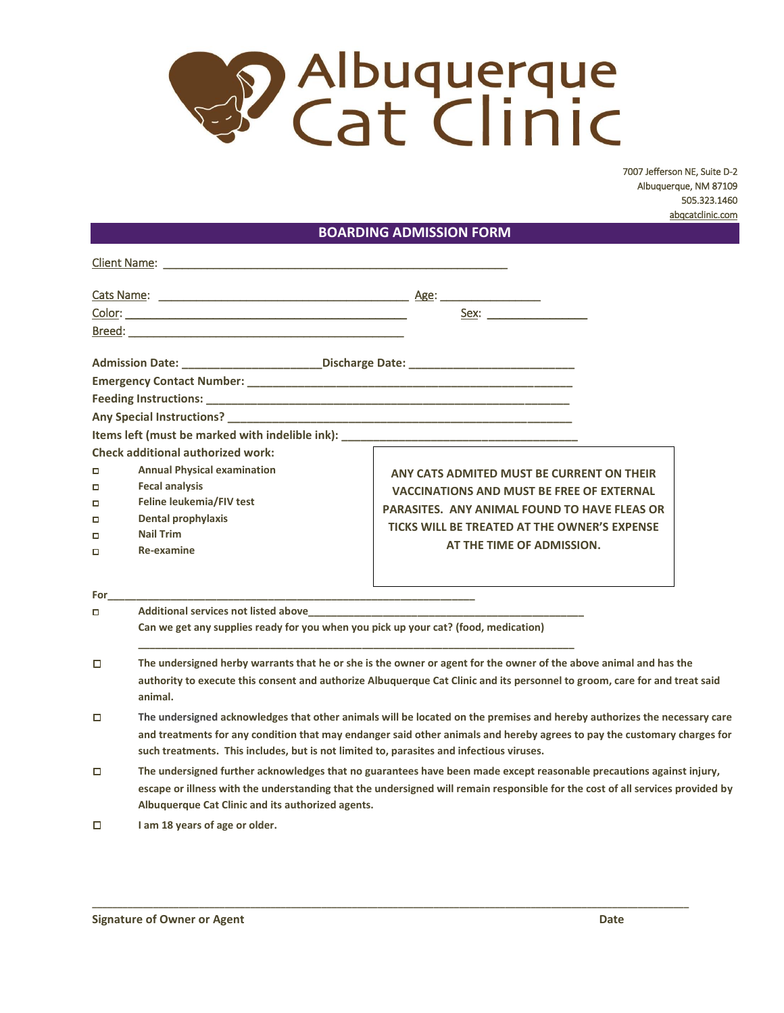

7007 Jefferson NE, Suite D-2 Albuquerque, NM 87109 505.323.1460 [abqcatclinic.com](http://www.abqcatclinic.com/)

## **BOARDING ADMISSION FORM**

| $\Box$<br>□<br>о<br>$\Box$<br>$\Box$<br>□<br>For<br>о | <b>Check additional authorized work:</b><br><b>Annual Physical examination</b><br><b>Fecal analysis</b><br>Feline leukemia/FIV test<br><b>Dental prophylaxis</b><br><b>Nail Trim</b><br>Re-examine<br>Can we get any supplies ready for you when you pick up your cat? (food, medication)                                                        |  | ANY CATS ADMITED MUST BE CURRENT ON THEIR<br><b>VACCINATIONS AND MUST BE FREE OF EXTERNAL</b><br><b>PARASITES. ANY ANIMAL FOUND TO HAVE FLEAS OR</b><br>TICKS WILL BE TREATED AT THE OWNER'S EXPENSE<br>AT THE TIME OF ADMISSION. |  |  |  |  |
|-------------------------------------------------------|--------------------------------------------------------------------------------------------------------------------------------------------------------------------------------------------------------------------------------------------------------------------------------------------------------------------------------------------------|--|-----------------------------------------------------------------------------------------------------------------------------------------------------------------------------------------------------------------------------------|--|--|--|--|
| $\Box$                                                | The undersigned herby warrants that he or she is the owner or agent for the owner of the above animal and has the<br>authority to execute this consent and authorize Albuquerque Cat Clinic and its personnel to groom, care for and treat said<br>animal.                                                                                       |  |                                                                                                                                                                                                                                   |  |  |  |  |
| $\Box$                                                | The undersigned acknowledges that other animals will be located on the premises and hereby authorizes the necessary care<br>and treatments for any condition that may endanger said other animals and hereby agrees to pay the customary charges for<br>such treatments. This includes, but is not limited to, parasites and infectious viruses. |  |                                                                                                                                                                                                                                   |  |  |  |  |
| □                                                     | The undersigned further acknowledges that no guarantees have been made except reasonable precautions against injury,<br>escape or illness with the understanding that the undersigned will remain responsible for the cost of all services provided by<br>Albuquerque Cat Clinic and its authorized agents.                                      |  |                                                                                                                                                                                                                                   |  |  |  |  |

**\_\_\_\_\_\_\_\_\_\_\_\_\_\_\_\_\_\_\_\_\_\_\_\_\_\_\_\_\_\_\_\_\_\_\_\_\_\_\_\_\_\_\_\_\_\_\_\_\_\_\_\_\_\_\_\_\_\_\_\_\_\_\_\_\_\_\_\_\_\_\_\_\_\_\_\_\_\_\_\_\_\_\_\_\_\_\_\_\_\_\_\_\_\_\_\_\_\_\_\_\_\_\_\_\_\_\_\_\_\_\_\_\_\_\_\_\_**

 $\Box$ **I am 18 years of age or older.**